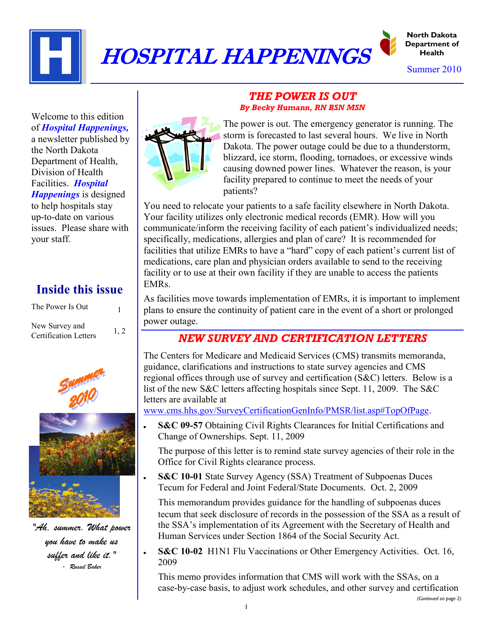

# HOSPITAL HAPPENINGS



Summer 2010

Welcome to this edition of *Hospital Happenings,* a newsletter published by the North Dakota Department of Health, Division of Health Facilities. *Hospital Happenings* is designed to help hospitals stay

up-to-date on various issues. Please share with your staff.

## **Inside this issue**

| The Power Is Out                               |      |
|------------------------------------------------|------|
| New Survey and<br><b>Certification Letters</b> | 1, 2 |



*"Ah, summer. What power you have to make us suffer and like it." - Russel Baker*

#### *THE POWER IS OUT By Becky Humann, RN BSN MSN*



The power is out. The emergency generator is running. The storm is forecasted to last several hours. We live in North Dakota. The power outage could be due to a thunderstorm, blizzard, ice storm, flooding, tornadoes, or excessive winds causing downed power lines. Whatever the reason, is your facility prepared to continue to meet the needs of your patients?

You need to relocate your patients to a safe facility elsewhere in North Dakota. Your facility utilizes only electronic medical records (EMR). How will you communicate/inform the receiving facility of each patient's individualized needs; specifically, medications, allergies and plan of care? It is recommended for facilities that utilize EMRs to have a "hard" copy of each patient's current list of medications, care plan and physician orders available to send to the receiving facility or to use at their own facility if they are unable to access the patients EMRs.

As facilities move towards implementation of EMRs, it is important to implement plans to ensure the continuity of patient care in the event of a short or prolonged power outage.

### *NEW SURVEY AND CERTIFICATION LETTERS*

The Centers for Medicare and Medicaid Services (CMS) transmits memoranda, guidance, clarifications and instructions to state survey agencies and CMS regional offices through use of survey and certification (S&C) letters. Below is a list of the new S&C letters affecting hospitals since Sept. 11, 2009. The S&C letters are available at

[www.cms.hhs.gov/SurveyCertificationGenInfo/PMSR/list.asp#TopOfPage.](http://www.cms.hhs.gov/SurveyCertificationGenInfo/PMSR/list.asp#TopOfPage)

**S&C 09-57** Obtaining Civil Rights Clearances for Initial Certifications and Change of Ownerships. Sept. 11, 2009

The purpose of this letter is to remind state survey agencies of their role in the Office for Civil Rights clearance process.

**S&C 10-01** State Survey Agency (SSA) Treatment of Subpoenas Duces Tecum for Federal and Joint Federal/State Documents. Oct. 2, 2009

This memorandum provides guidance for the handling of subpoenas duces tecum that seek disclosure of records in the possession of the SSA as a result of the SSA's implementation of its Agreement with the Secretary of Health and Human Services under Section 1864 of the Social Security Act.

**S&C 10-02** H1N1 Flu Vaccinations or Other Emergency Activities. Oct. 16, 2009

This memo provides information that CMS will work with the SSAs, on a case-by-case basis, to adjust work schedules, and other survey and certification